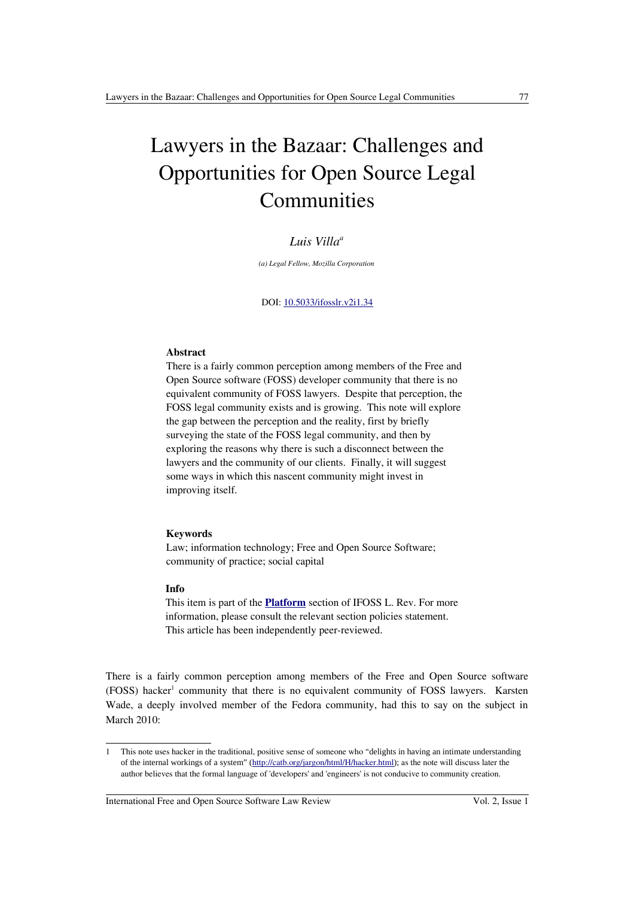# Lawyers in the Bazaar: Challenges and Opportunities for Open Source Legal Communities

# *Luis Villa<sup>a</sup>*

*(a) Legal Fellow, Mozilla Corporation*

#### DOI: [10.5033/ifosslr.v2i1.34](http://dx.doi.org/10.5033/ifosslr.v2i1.34)

#### **Abstract**

There is a fairly common perception among members of the Free and Open Source software (FOSS) developer community that there is no equivalent community of FOSS lawyers. Despite that perception, the FOSS legal community exists and is growing. This note will explore the gap between the perception and the reality, first by briefly surveying the state of the FOSS legal community, and then by exploring the reasons why there is such a disconnect between the lawyers and the community of our clients. Finally, it will suggest some ways in which this nascent community might invest in improving itself.

## **Keywords**

Law; information technology; Free and Open Source Software; community of practice; social capital

### **Info**

This item is part of the **[Platform](http://www.ifosslr.org/ifosslr/about/editorialPolicies#sectionPolicies)** section of IFOSS L. Rev. For more information, please consult the relevant section policies statement. This article has been independently peer-reviewed.

There is a fairly common perception among members of the Free and Open Source software (FOSS) hacker<sup>[1](#page-0-0)</sup> community that there is no equivalent community of FOSS lawyers. Karsten Wade, a deeply involved member of the Fedora community, had this to say on the subject in March 2010:

<span id="page-0-0"></span><sup>1</sup> This note uses hacker in the traditional, positive sense of someone who "delights in having an intimate understanding of the internal workings of a system" (<http://catb.org/jargon/html/H/hacker.html>); as the note will discuss later the author believes that the formal language of 'developers' and 'engineers' is not conducive to community creation.

International Free and Open Source Software Law Review Vol. 2, Issue 1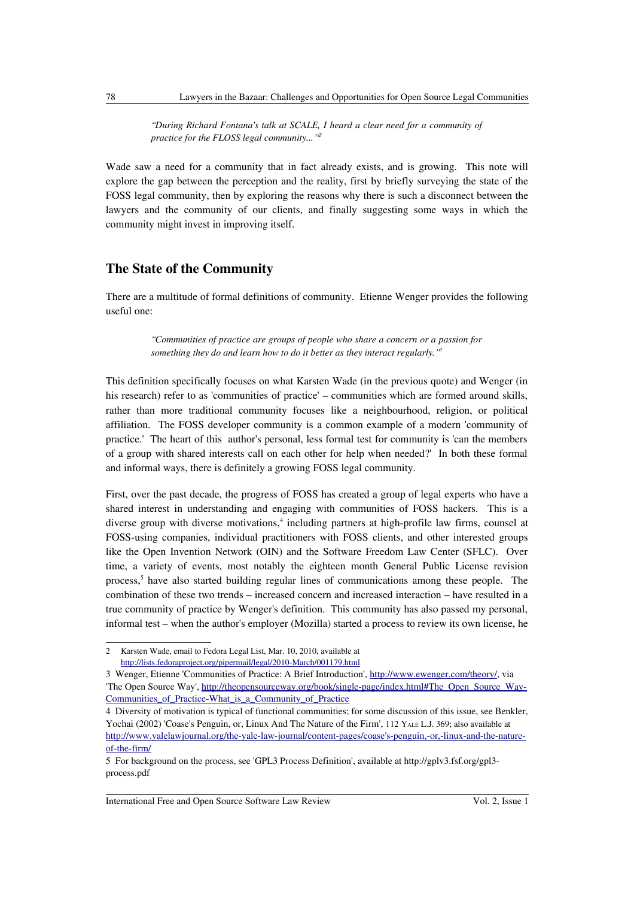*"During Richard Fontana's talk at SCALE, I heard a clear need for a community of practice for the FLOSS legal community..."*[2](#page-1-0)

Wade saw a need for a community that in fact already exists, and is growing. This note will explore the gap between the perception and the reality, first by briefly surveying the state of the FOSS legal community, then by exploring the reasons why there is such a disconnect between the lawyers and the community of our clients, and finally suggesting some ways in which the community might invest in improving itself.

## **The State of the Community**

There are a multitude of formal definitions of community. Etienne Wenger provides the following useful one:

> *"Communities of practice are groups of people who share a concern or a passion for something they do and learn how to do it better as they interact regularly."[3](#page-1-1)*

This definition specifically focuses on what Karsten Wade (in the previous quote) and Wenger (in his research) refer to as 'communities of practice' – communities which are formed around skills, rather than more traditional community focuses like a neighbourhood, religion, or political affiliation. The FOSS developer community is a common example of a modern 'community of practice.' The heart of this author's personal, less formal test for community is 'can the members of a group with shared interests call on each other for help when needed?' In both these formal and informal ways, there is definitely a growing FOSS legal community.

First, over the past decade, the progress of FOSS has created a group of legal experts who have a shared interest in understanding and engaging with communities of FOSS hackers. This is a diverse group with diverse motivations,<sup>[4](#page-1-2)</sup> including partners at high-profile law firms, counsel at FOSS-using companies, individual practitioners with FOSS clients, and other interested groups like the Open Invention Network (OIN) and the Software Freedom Law Center (SFLC). Over time, a variety of events, most notably the eighteen month General Public License revision process,<sup>[5](#page-1-3)</sup> have also started building regular lines of communications among these people. The combination of these two trends – increased concern and increased interaction – have resulted in a true community of practice by Wenger's definition. This community has also passed my personal, informal test – when the author's employer (Mozilla) started a process to review its own license, he

<span id="page-1-0"></span><sup>2</sup> Karsten Wade, email to Fedora Legal List, Mar. 10, 2010, available at <http://lists.fedoraproject.org/pipermail/legal/2010-March/001179.html>

<span id="page-1-1"></span><sup>3</sup> Wenger, Etienne 'Communities of Practice: A Brief Introduction', [http://www.ewenger.com/theory/,](http://www.ewenger.com/theory/) via 'The Open Source Way', [http://theopensourceway.org/book/single-page/index.html#The\\_Open\\_Source\\_Way-](http://theopensourceway.org/book/single-page/index.html#The_Open_Source_Way-Communities_of_Practice-What_is_a_Community_of_Practice)Communities of Practice-What is a Community of Practice

<span id="page-1-2"></span><sup>4</sup> Diversity of motivation is typical of functional communities; for some discussion of this issue, see Benkler, Yochai (2002) 'Coase's Penguin, or, Linux And The Nature of the Firm', 112 YALE L.J. 369; also available at [http://www.yalelawjournal.org/the-yale-law-journal/content-pages/coase's-penguin,-or,-linux-and-the-nature](http://www.yalelawjournal.org/the-yale-law-journal/content-pages/coase)[of-the-firm/](http://www.yalelawjournal.org/the-yale-law-journal/content-pages/coase)

<span id="page-1-3"></span><sup>5</sup> For background on the process, see 'GPL3 Process Definition', available at http://gplv3.fsf.org/gpl3 process.pdf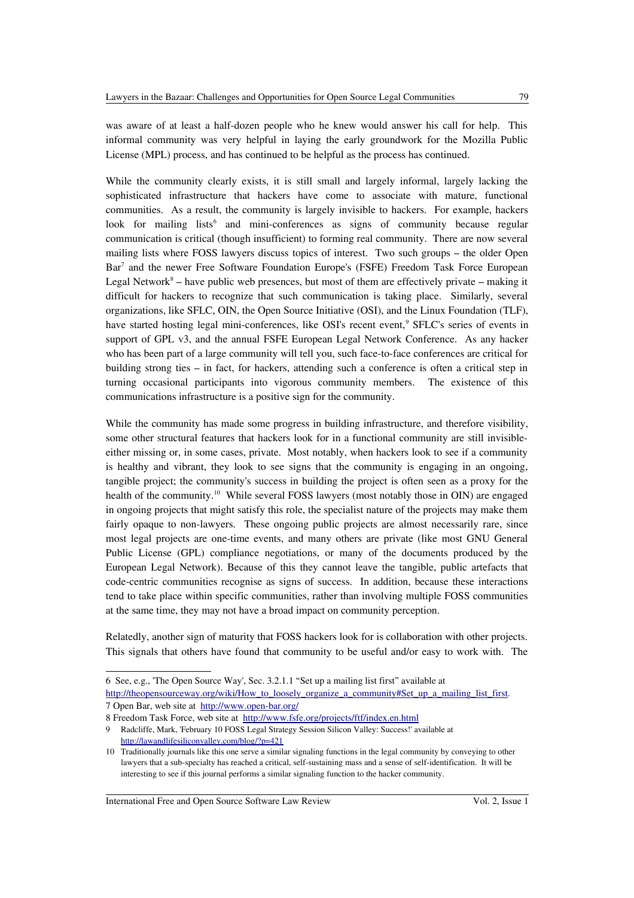was aware of at least a half-dozen people who he knew would answer his call for help. This informal community was very helpful in laying the early groundwork for the Mozilla Public License (MPL) process, and has continued to be helpful as the process has continued.

While the community clearly exists, it is still small and largely informal, largely lacking the sophisticated infrastructure that hackers have come to associate with mature, functional communities. As a result, the community is largely invisible to hackers. For example, hackers look for mailing lists<sup>[6](#page-2-0)</sup> and mini-conferences as signs of community because regular communication is critical (though insufficient) to forming real community. There are now several mailing lists where FOSS lawyers discuss topics of interest. Two such groups – the older Open Bar<sup>[7](#page-2-1)</sup> and the newer Free Software Foundation Europe's (FSFE) Freedom Task Force European Legal Network $8 8 -$  have public web presences, but most of them are effectively private  $-$  making it difficult for hackers to recognize that such communication is taking place. Similarly, several organizations, like SFLC, OIN, the Open Source Initiative (OSI), and the Linux Foundation (TLF), have started hosting legal mini-conferences, like OSI's recent event,<sup>[9](#page-2-3)</sup> SFLC's series of events in support of GPL v3, and the annual FSFE European Legal Network Conference. As any hacker who has been part of a large community will tell you, such face-to-face conferences are critical for building strong ties – in fact, for hackers, attending such a conference is often a critical step in turning occasional participants into vigorous community members. The existence of this communications infrastructure is a positive sign for the community.

While the community has made some progress in building infrastructure, and therefore visibility, some other structural features that hackers look for in a functional community are still invisibleeither missing or, in some cases, private. Most notably, when hackers look to see if a community is healthy and vibrant, they look to see signs that the community is engaging in an ongoing, tangible project; the community's success in building the project is often seen as a proxy for the health of the community.<sup>[10](#page-2-4)</sup> While several FOSS lawyers (most notably those in OIN) are engaged in ongoing projects that might satisfy this role, the specialist nature of the projects may make them fairly opaque to non-lawyers. These ongoing public projects are almost necessarily rare, since most legal projects are one-time events, and many others are private (like most GNU General Public License (GPL) compliance negotiations, or many of the documents produced by the European Legal Network). Because of this they cannot leave the tangible, public artefacts that code-centric communities recognise as signs of success. In addition, because these interactions tend to take place within specific communities, rather than involving multiple FOSS communities at the same time, they may not have a broad impact on community perception.

Relatedly, another sign of maturity that FOSS hackers look for is collaboration with other projects. This signals that others have found that community to be useful and/or easy to work with. The

<span id="page-2-0"></span><sup>6</sup> See, e.g., 'The Open Source Way', Sec. 3.2.1.1 "Set up a mailing list first" available at

<span id="page-2-1"></span>[http://theopensourceway.org/wiki/How\\_to\\_loosely\\_organize\\_a\\_community#Set\\_up\\_a\\_mailing\\_list\\_first.](http://theopensourceway.org/wiki/How_to_loosely_organize_a_community#Set_up_a_mailing_list_first) 7 Open Bar, web site at <http://www.open-bar.org/>

<span id="page-2-2"></span><sup>8</sup> Freedom Task Force, web site at <http://www.fsfe.org/projects/ftf/index.en.html>

<span id="page-2-3"></span><sup>9</sup> Radcliffe, Mark, 'February 10 FOSS Legal Strategy Session Silicon Valley: Success!' available at <http://lawandlifesiliconvalley.com/blog/?p=421>

<span id="page-2-4"></span><sup>10</sup> Traditionally journals like this one serve a similar signaling functions in the legal community by conveying to other lawyers that a sub-specialty has reached a critical, self-sustaining mass and a sense of self-identification. It will be interesting to see if this journal performs a similar signaling function to the hacker community.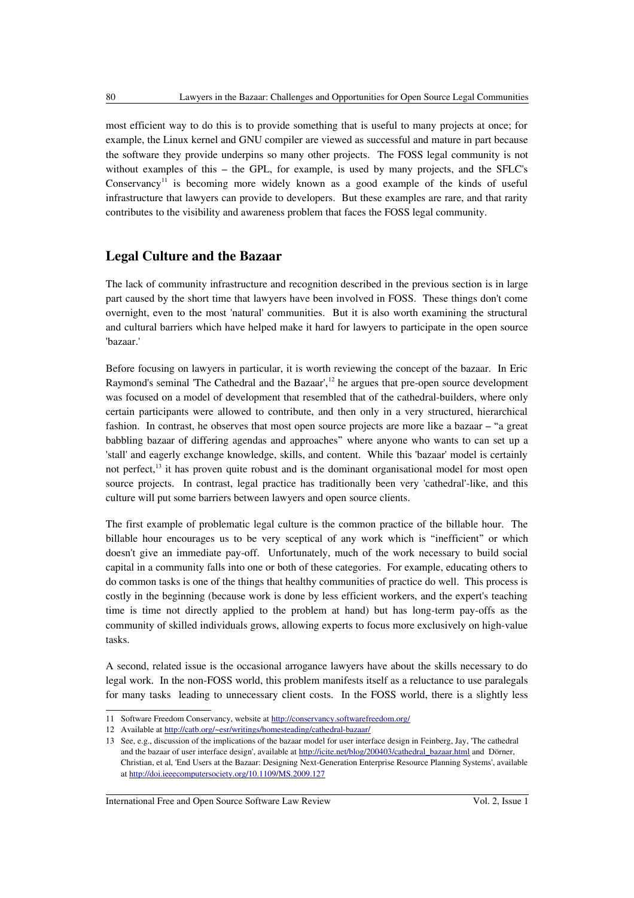most efficient way to do this is to provide something that is useful to many projects at once; for example, the Linux kernel and GNU compiler are viewed as successful and mature in part because the software they provide underpins so many other projects. The FOSS legal community is not without examples of this – the GPL, for example, is used by many projects, and the SFLC's Conservancy<sup>[11](#page-3-0)</sup> is becoming more widely known as a good example of the kinds of useful infrastructure that lawyers can provide to developers. But these examples are rare, and that rarity contributes to the visibility and awareness problem that faces the FOSS legal community.

## **Legal Culture and the Bazaar**

The lack of community infrastructure and recognition described in the previous section is in large part caused by the short time that lawyers have been involved in FOSS. These things don't come overnight, even to the most 'natural' communities. But it is also worth examining the structural and cultural barriers which have helped make it hard for lawyers to participate in the open source 'bazaar.'

Before focusing on lawyers in particular, it is worth reviewing the concept of the bazaar. In Eric Raymond's seminal 'The Cathedral and the Bazaar',<sup>[12](#page-3-1)</sup> he argues that pre-open source development was focused on a model of development that resembled that of the cathedral-builders, where only certain participants were allowed to contribute, and then only in a very structured, hierarchical fashion. In contrast, he observes that most open source projects are more like a bazaar – "a great babbling bazaar of differing agendas and approaches" where anyone who wants to can set up a 'stall' and eagerly exchange knowledge, skills, and content. While this 'bazaar' model is certainly not perfect,<sup>[13](#page-3-2)</sup> it has proven quite robust and is the dominant organisational model for most open source projects. In contrast, legal practice has traditionally been very 'cathedral'-like, and this culture will put some barriers between lawyers and open source clients.

The first example of problematic legal culture is the common practice of the billable hour. The billable hour encourages us to be very sceptical of any work which is "inefficient" or which doesn't give an immediate pay-off. Unfortunately, much of the work necessary to build social capital in a community falls into one or both of these categories. For example, educating others to do common tasks is one of the things that healthy communities of practice do well. This process is costly in the beginning (because work is done by less efficient workers, and the expert's teaching time is time not directly applied to the problem at hand) but has long-term pay-offs as the community of skilled individuals grows, allowing experts to focus more exclusively on high-value tasks.

A second, related issue is the occasional arrogance lawyers have about the skills necessary to do legal work. In the non-FOSS world, this problem manifests itself as a reluctance to use paralegals for many tasks leading to unnecessary client costs. In the FOSS world, there is a slightly less

<span id="page-3-0"></span><sup>11</sup> Software Freedom Conservancy, website at<http://conservancy.softwarefreedom.org/>

<span id="page-3-1"></span><sup>12</sup> Available at<http://catb.org/~esr/writings/homesteading/cathedral-bazaar/>

<span id="page-3-2"></span><sup>13</sup> See, e.g., discussion of the implications of the bazaar model for user interface design in Feinberg, Jay, 'The cathedral and the bazaar of user interface design', available at [http://icite.net/blog/200403/cathedral\\_bazaar.html](http://icite.net/blog/200403/cathedral_bazaar.html) and Dörner, Christian, et al, 'End Users at the Bazaar: Designing Next-Generation Enterprise Resource Planning Systems', available at<http://doi.ieeecomputersociety.org/10.1109/MS.2009.127>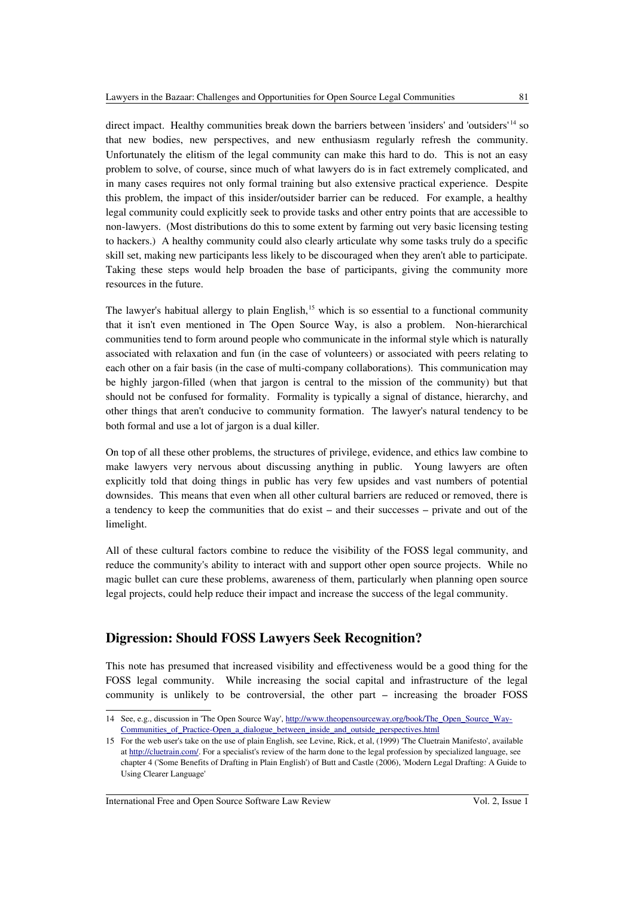direct impact. Healthy communities break down the barriers between 'insiders' and 'outsiders' [14](#page-4-0) so that new bodies, new perspectives, and new enthusiasm regularly refresh the community. Unfortunately the elitism of the legal community can make this hard to do. This is not an easy problem to solve, of course, since much of what lawyers do is in fact extremely complicated, and in many cases requires not only formal training but also extensive practical experience. Despite this problem, the impact of this insider/outsider barrier can be reduced. For example, a healthy legal community could explicitly seek to provide tasks and other entry points that are accessible to non-lawyers. (Most distributions do this to some extent by farming out very basic licensing testing to hackers.) A healthy community could also clearly articulate why some tasks truly do a specific skill set, making new participants less likely to be discouraged when they aren't able to participate. Taking these steps would help broaden the base of participants, giving the community more resources in the future.

The lawyer's habitual allergy to plain English,<sup>[15](#page-4-1)</sup> which is so essential to a functional community that it isn't even mentioned in The Open Source Way, is also a problem. Non-hierarchical communities tend to form around people who communicate in the informal style which is naturally associated with relaxation and fun (in the case of volunteers) or associated with peers relating to each other on a fair basis (in the case of multi-company collaborations). This communication may be highly jargon-filled (when that jargon is central to the mission of the community) but that should not be confused for formality. Formality is typically a signal of distance, hierarchy, and other things that aren't conducive to community formation. The lawyer's natural tendency to be both formal and use a lot of jargon is a dual killer.

On top of all these other problems, the structures of privilege, evidence, and ethics law combine to make lawyers very nervous about discussing anything in public. Young lawyers are often explicitly told that doing things in public has very few upsides and vast numbers of potential downsides. This means that even when all other cultural barriers are reduced or removed, there is a tendency to keep the communities that do exist – and their successes – private and out of the limelight.

All of these cultural factors combine to reduce the visibility of the FOSS legal community, and reduce the community's ability to interact with and support other open source projects. While no magic bullet can cure these problems, awareness of them, particularly when planning open source legal projects, could help reduce their impact and increase the success of the legal community.

# **Digression: Should FOSS Lawyers Seek Recognition?**

This note has presumed that increased visibility and effectiveness would be a good thing for the FOSS legal community. While increasing the social capital and infrastructure of the legal community is unlikely to be controversial, the other part – increasing the broader FOSS

<span id="page-4-0"></span><sup>14</sup> See, e.g., discussion in 'The Open Source Way', [http://www.theopensourceway.org/book/The\\_Open\\_Source\\_Way-](http://www.theopensourceway.org/book/The_Open_Source_Way-Communities_of_Practice-Open_a_dialogue_between_inside_and_outside_perspectives.html)Communities of Practice-Open a dialogue between inside and outside perspectives.html

<span id="page-4-1"></span><sup>15</sup> For the web user's take on the use of plain English, see Levine, Rick, et al, (1999) 'The Cluetrain Manifesto', available at [http://cluetrain.com/.](http://cluetrain.com/) For a specialist's review of the harm done to the legal profession by specialized language, see chapter 4 ('Some Benefits of Drafting in Plain English') of Butt and Castle (2006), 'Modern Legal Drafting: A Guide to Using Clearer Language'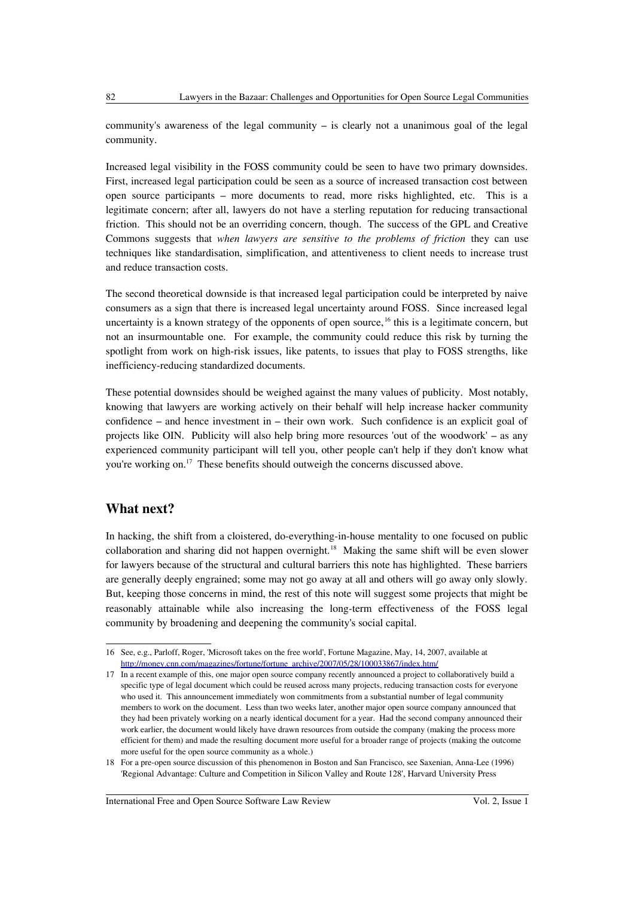community's awareness of the legal community – is clearly not a unanimous goal of the legal community.

Increased legal visibility in the FOSS community could be seen to have two primary downsides. First, increased legal participation could be seen as a source of increased transaction cost between open source participants – more documents to read, more risks highlighted, etc. This is a legitimate concern; after all, lawyers do not have a sterling reputation for reducing transactional friction. This should not be an overriding concern, though. The success of the GPL and Creative Commons suggests that *when lawyers are sensitive to the problems of friction* they can use techniques like standardisation, simplification, and attentiveness to client needs to increase trust and reduce transaction costs.

The second theoretical downside is that increased legal participation could be interpreted by naive consumers as a sign that there is increased legal uncertainty around FOSS. Since increased legal uncertainty is a known strategy of the opponents of open source,  $^{16}$  $^{16}$  $^{16}$  this is a legitimate concern, but not an insurmountable one. For example, the community could reduce this risk by turning the spotlight from work on high-risk issues, like patents, to issues that play to FOSS strengths, like inefficiency-reducing standardized documents.

These potential downsides should be weighed against the many values of publicity. Most notably, knowing that lawyers are working actively on their behalf will help increase hacker community confidence – and hence investment in – their own work. Such confidence is an explicit goal of projects like OIN. Publicity will also help bring more resources 'out of the woodwork' – as any experienced community participant will tell you, other people can't help if they don't know what you're working on.<sup>[17](#page-5-1)</sup> These benefits should outweigh the concerns discussed above.

# **What next?**

In hacking, the shift from a cloistered, do-everything-in-house mentality to one focused on public collaboration and sharing did not happen overnight.<sup>[18](#page-5-2)</sup> Making the same shift will be even slower for lawyers because of the structural and cultural barriers this note has highlighted. These barriers are generally deeply engrained; some may not go away at all and others will go away only slowly. But, keeping those concerns in mind, the rest of this note will suggest some projects that might be reasonably attainable while also increasing the long-term effectiveness of the FOSS legal community by broadening and deepening the community's social capital.

<span id="page-5-0"></span><sup>16</sup> See, e.g., Parloff, Roger, 'Microsoft takes on the free world', Fortune Magazine, May, 14, 2007, available at [http://money.cnn.com/magazines/fortune/fortune\\_archive/2007/05/28/100033867/index.htm/](http://money.cnn.com/magazines/fortune/fortune_archive/2007/05/28/100033867/index.htm/)

<span id="page-5-1"></span><sup>17</sup> In a recent example of this, one major open source company recently announced a project to collaboratively build a specific type of legal document which could be reused across many projects, reducing transaction costs for everyone who used it. This announcement immediately won commitments from a substantial number of legal community members to work on the document. Less than two weeks later, another major open source company announced that they had been privately working on a nearly identical document for a year. Had the second company announced their work earlier, the document would likely have drawn resources from outside the company (making the process more efficient for them) and made the resulting document more useful for a broader range of projects (making the outcome more useful for the open source community as a whole.)

<span id="page-5-2"></span><sup>18</sup> For a pre-open source discussion of this phenomenon in Boston and San Francisco, see Saxenian, Anna-Lee (1996) 'Regional Advantage: Culture and Competition in Silicon Valley and Route 128', Harvard University Press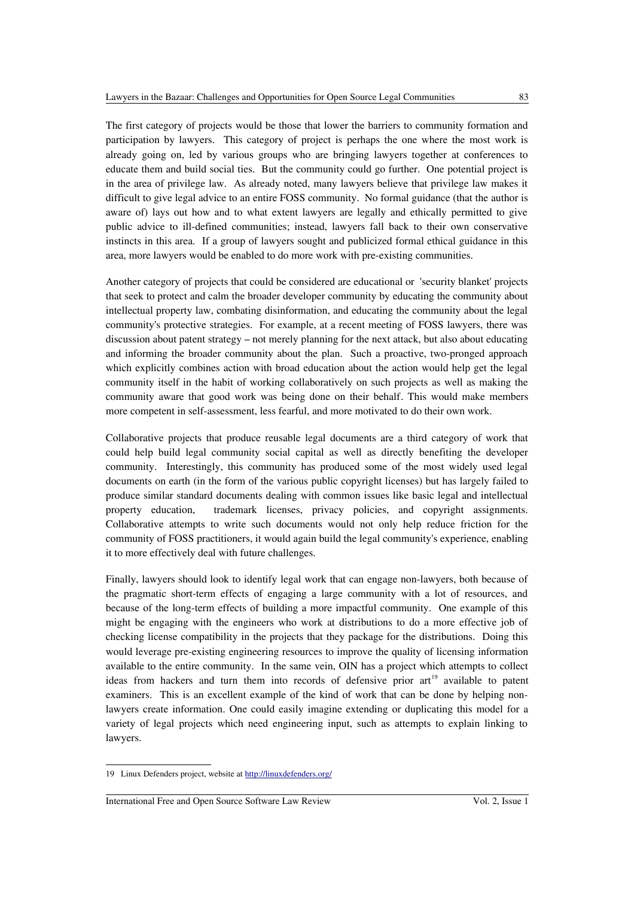The first category of projects would be those that lower the barriers to community formation and participation by lawyers. This category of project is perhaps the one where the most work is already going on, led by various groups who are bringing lawyers together at conferences to educate them and build social ties. But the community could go further. One potential project is in the area of privilege law. As already noted, many lawyers believe that privilege law makes it difficult to give legal advice to an entire FOSS community. No formal guidance (that the author is aware of) lays out how and to what extent lawyers are legally and ethically permitted to give public advice to ill-defined communities; instead, lawyers fall back to their own conservative instincts in this area. If a group of lawyers sought and publicized formal ethical guidance in this area, more lawyers would be enabled to do more work with pre-existing communities.

Another category of projects that could be considered are educational or 'security blanket' projects that seek to protect and calm the broader developer community by educating the community about intellectual property law, combating disinformation, and educating the community about the legal community's protective strategies. For example, at a recent meeting of FOSS lawyers, there was discussion about patent strategy – not merely planning for the next attack, but also about educating and informing the broader community about the plan. Such a proactive, two-pronged approach which explicitly combines action with broad education about the action would help get the legal community itself in the habit of working collaboratively on such projects as well as making the community aware that good work was being done on their behalf. This would make members more competent in self-assessment, less fearful, and more motivated to do their own work.

Collaborative projects that produce reusable legal documents are a third category of work that could help build legal community social capital as well as directly benefiting the developer community. Interestingly, this community has produced some of the most widely used legal documents on earth (in the form of the various public copyright licenses) but has largely failed to produce similar standard documents dealing with common issues like basic legal and intellectual property education, trademark licenses, privacy policies, and copyright assignments. Collaborative attempts to write such documents would not only help reduce friction for the community of FOSS practitioners, it would again build the legal community's experience, enabling it to more effectively deal with future challenges.

Finally, lawyers should look to identify legal work that can engage non-lawyers, both because of the pragmatic short-term effects of engaging a large community with a lot of resources, and because of the long-term effects of building a more impactful community. One example of this might be engaging with the engineers who work at distributions to do a more effective job of checking license compatibility in the projects that they package for the distributions. Doing this would leverage pre-existing engineering resources to improve the quality of licensing information available to the entire community. In the same vein, OIN has a project which attempts to collect ideas from hackers and turn them into records of defensive prior  $art<sup>19</sup>$  $art<sup>19</sup>$  $art<sup>19</sup>$  available to patent examiners. This is an excellent example of the kind of work that can be done by helping nonlawyers create information. One could easily imagine extending or duplicating this model for a variety of legal projects which need engineering input, such as attempts to explain linking to lawyers.

<span id="page-6-0"></span><sup>19</sup> Linux Defenders project, website at<http://linuxdefenders.org/>

International Free and Open Source Software Law Review Vol. 2, Issue 1